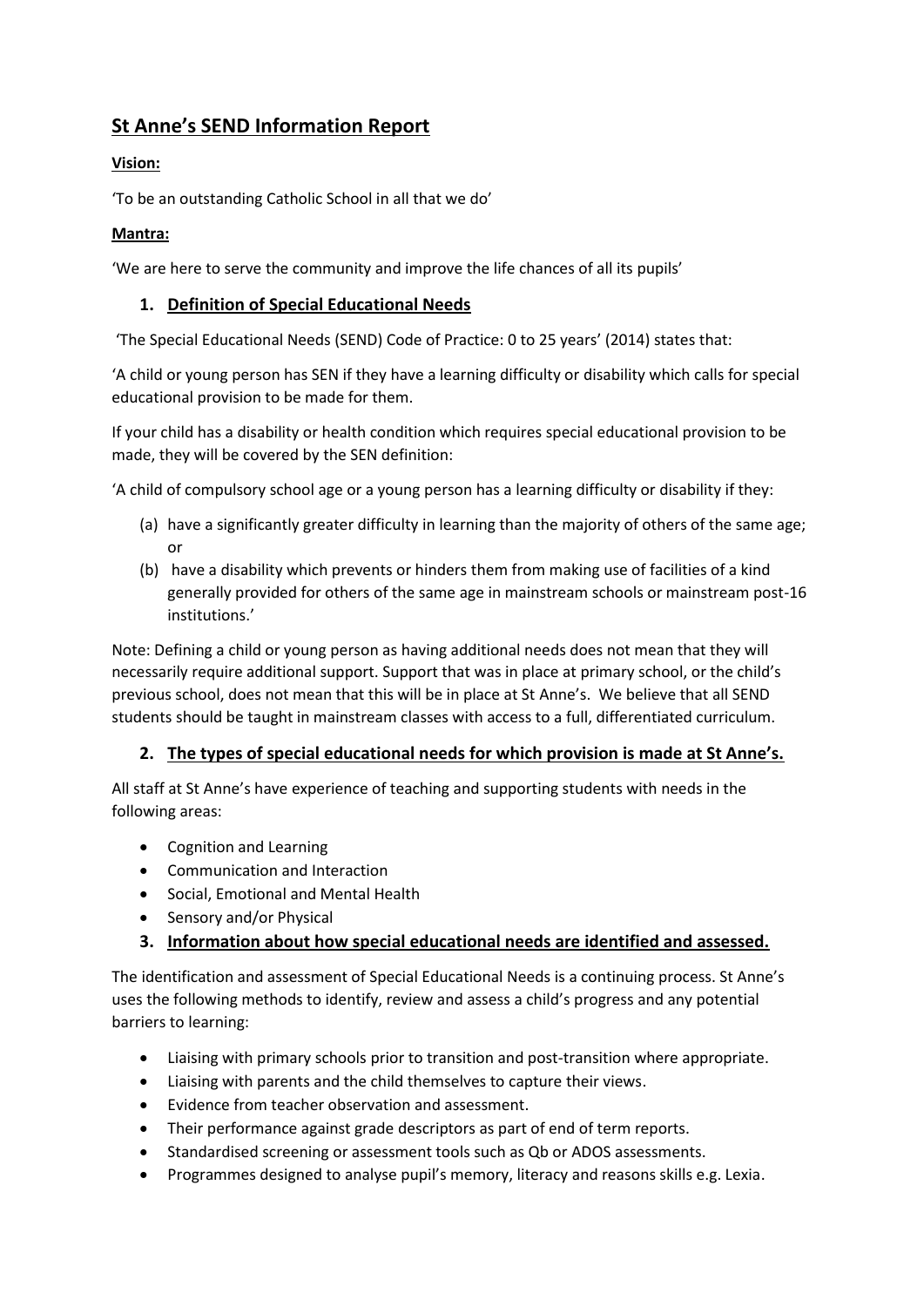# **St Anne's SEND Information Report**

## **Vision:**

'To be an outstanding Catholic School in all that we do'

### **Mantra:**

'We are here to serve the community and improve the life chances of all its pupils'

## **1. Definition of Special Educational Needs**

'The Special Educational Needs (SEND) Code of Practice: 0 to 25 years' (2014) states that:

'A child or young person has SEN if they have a learning difficulty or disability which calls for special educational provision to be made for them.

If your child has a disability or health condition which requires special educational provision to be made, they will be covered by the SEN definition:

'A child of compulsory school age or a young person has a learning difficulty or disability if they:

- (a) have a significantly greater difficulty in learning than the majority of others of the same age; or
- (b) have a disability which prevents or hinders them from making use of facilities of a kind generally provided for others of the same age in mainstream schools or mainstream post-16 institutions.'

Note: Defining a child or young person as having additional needs does not mean that they will necessarily require additional support. Support that was in place at primary school, or the child's previous school, does not mean that this will be in place at St Anne's. We believe that all SEND students should be taught in mainstream classes with access to a full, differentiated curriculum.

## **2. The types of special educational needs for which provision is made at St Anne's.**

All staff at St Anne's have experience of teaching and supporting students with needs in the following areas:

- Cognition and Learning
- Communication and Interaction
- Social, Emotional and Mental Health
- Sensory and/or Physical

## **3. Information about how special educational needs are identified and assessed.**

The identification and assessment of Special Educational Needs is a continuing process. St Anne's uses the following methods to identify, review and assess a child's progress and any potential barriers to learning:

- Liaising with primary schools prior to transition and post-transition where appropriate.
- Liaising with parents and the child themselves to capture their views.
- Evidence from teacher observation and assessment.
- Their performance against grade descriptors as part of end of term reports.
- Standardised screening or assessment tools such as Qb or ADOS assessments.
- Programmes designed to analyse pupil's memory, literacy and reasons skills e.g. Lexia.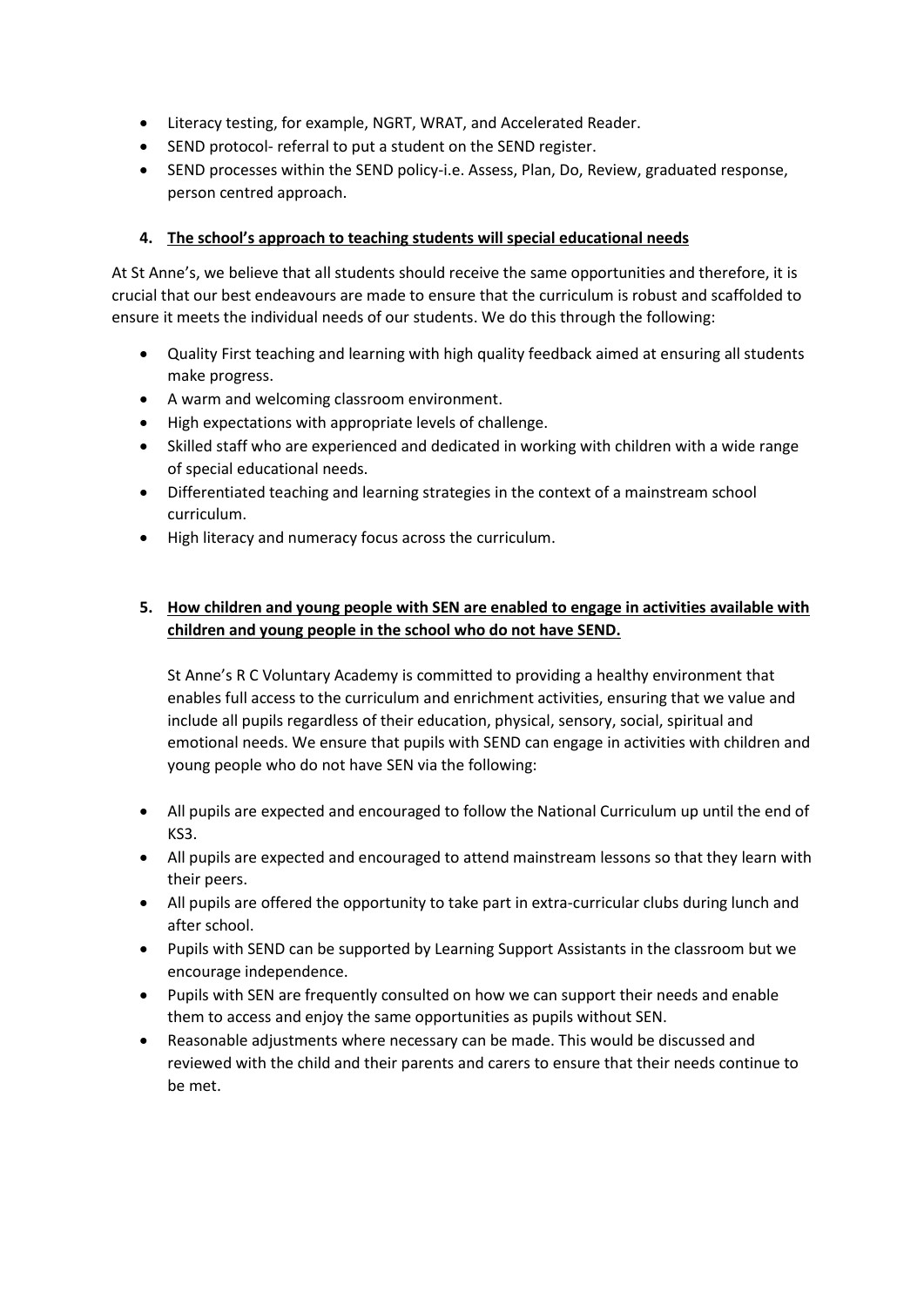- Literacy testing, for example, NGRT, WRAT, and Accelerated Reader.
- SEND protocol- referral to put a student on the SEND register.
- SEND processes within the SEND policy-i.e. Assess, Plan, Do, Review, graduated response, person centred approach.

#### **4. The school's approach to teaching students will special educational needs**

At St Anne's, we believe that all students should receive the same opportunities and therefore, it is crucial that our best endeavours are made to ensure that the curriculum is robust and scaffolded to ensure it meets the individual needs of our students. We do this through the following:

- Quality First teaching and learning with high quality feedback aimed at ensuring all students make progress.
- A warm and welcoming classroom environment.
- High expectations with appropriate levels of challenge.
- Skilled staff who are experienced and dedicated in working with children with a wide range of special educational needs.
- Differentiated teaching and learning strategies in the context of a mainstream school curriculum.
- High literacy and numeracy focus across the curriculum.

## **5. How children and young people with SEN are enabled to engage in activities available with children and young people in the school who do not have SEND.**

St Anne's R C Voluntary Academy is committed to providing a healthy environment that enables full access to the curriculum and enrichment activities, ensuring that we value and include all pupils regardless of their education, physical, sensory, social, spiritual and emotional needs. We ensure that pupils with SEND can engage in activities with children and young people who do not have SEN via the following:

- All pupils are expected and encouraged to follow the National Curriculum up until the end of KS3.
- All pupils are expected and encouraged to attend mainstream lessons so that they learn with their peers.
- All pupils are offered the opportunity to take part in extra-curricular clubs during lunch and after school.
- Pupils with SEND can be supported by Learning Support Assistants in the classroom but we encourage independence.
- Pupils with SEN are frequently consulted on how we can support their needs and enable them to access and enjoy the same opportunities as pupils without SEN.
- Reasonable adjustments where necessary can be made. This would be discussed and reviewed with the child and their parents and carers to ensure that their needs continue to be met.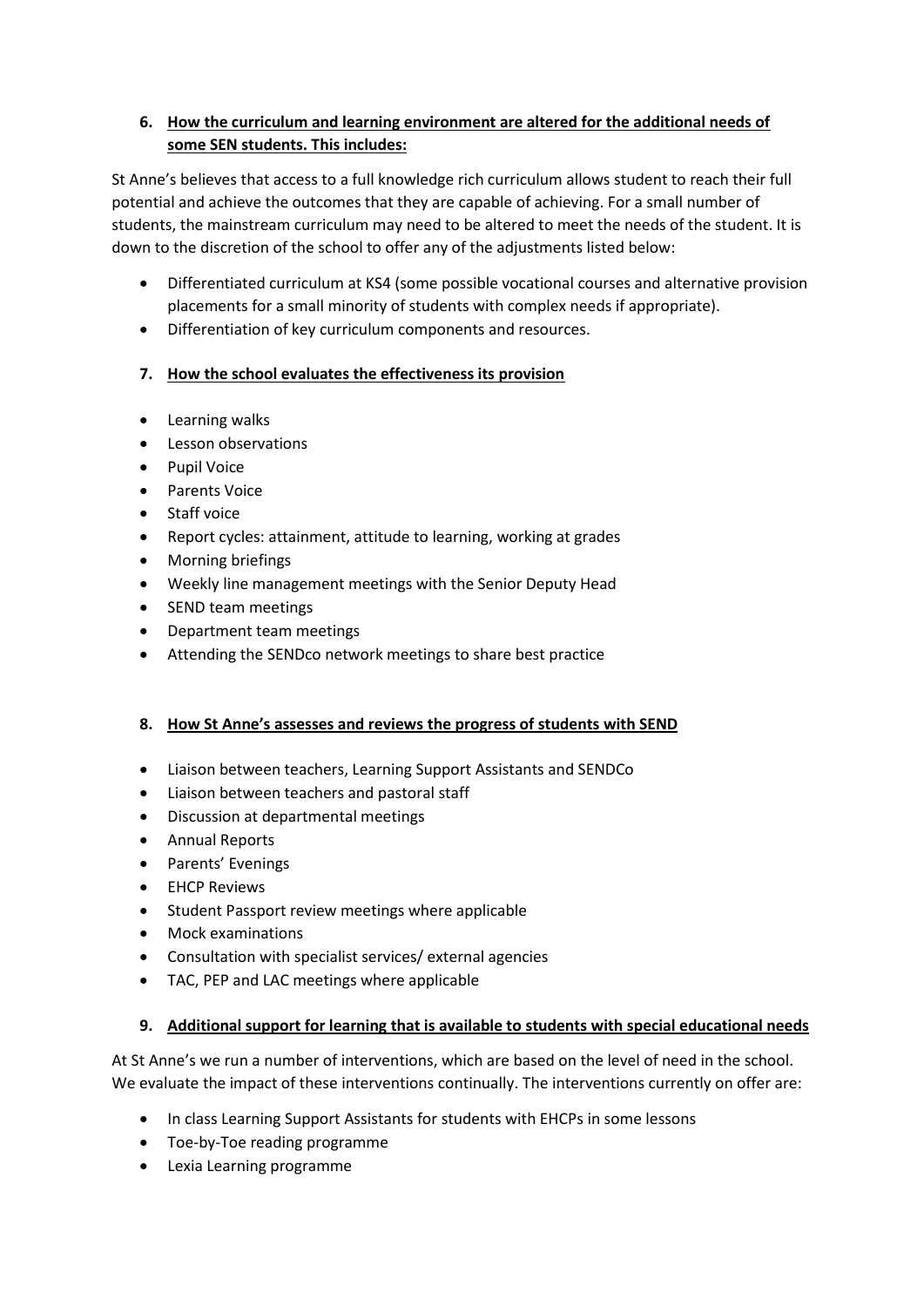## **6. How the curriculum and learning environment are altered for the additional needs of some SEN students. This includes:**

St Anne's believes that access to a full knowledge rich curriculum allows student to reach their full potential and achieve the outcomes that they are capable of achieving. For a small number of students, the mainstream curriculum may need to be altered to meet the needs of the student. It is down to the discretion of the school to offer any of the adjustments listed below:

- Differentiated curriculum at KS4 (some possible vocational courses and alternative provision placements for a small minority of students with complex needs if appropriate).
- Differentiation of key curriculum components and resources.

### **7. How the school evaluates the effectiveness its provision**

- Learning walks
- Lesson observations
- Pupil Voice
- Parents Voice
- Staff voice
- Report cycles: attainment, attitude to learning, working at grades
- Morning briefings
- Weekly line management meetings with the Senior Deputy Head
- SEND team meetings
- Department team meetings
- Attending the SENDco network meetings to share best practice

#### **8. How St Anne's assesses and reviews the progress of students with SEND**

- Liaison between teachers, Learning Support Assistants and SENDCo
- Liaison between teachers and pastoral staff
- Discussion at departmental meetings
- Annual Reports
- Parents' Evenings
- EHCP Reviews
- Student Passport review meetings where applicable
- Mock examinations
- Consultation with specialist services/ external agencies
- TAC, PEP and LAC meetings where applicable

#### **9. Additional support for learning that is available to students with special educational needs**

At St Anne's we run a number of interventions, which are based on the level of need in the school. We evaluate the impact of these interventions continually. The interventions currently on offer are:

- In class Learning Support Assistants for students with EHCPs in some lessons
- Toe-by-Toe reading programme
- Lexia Learning programme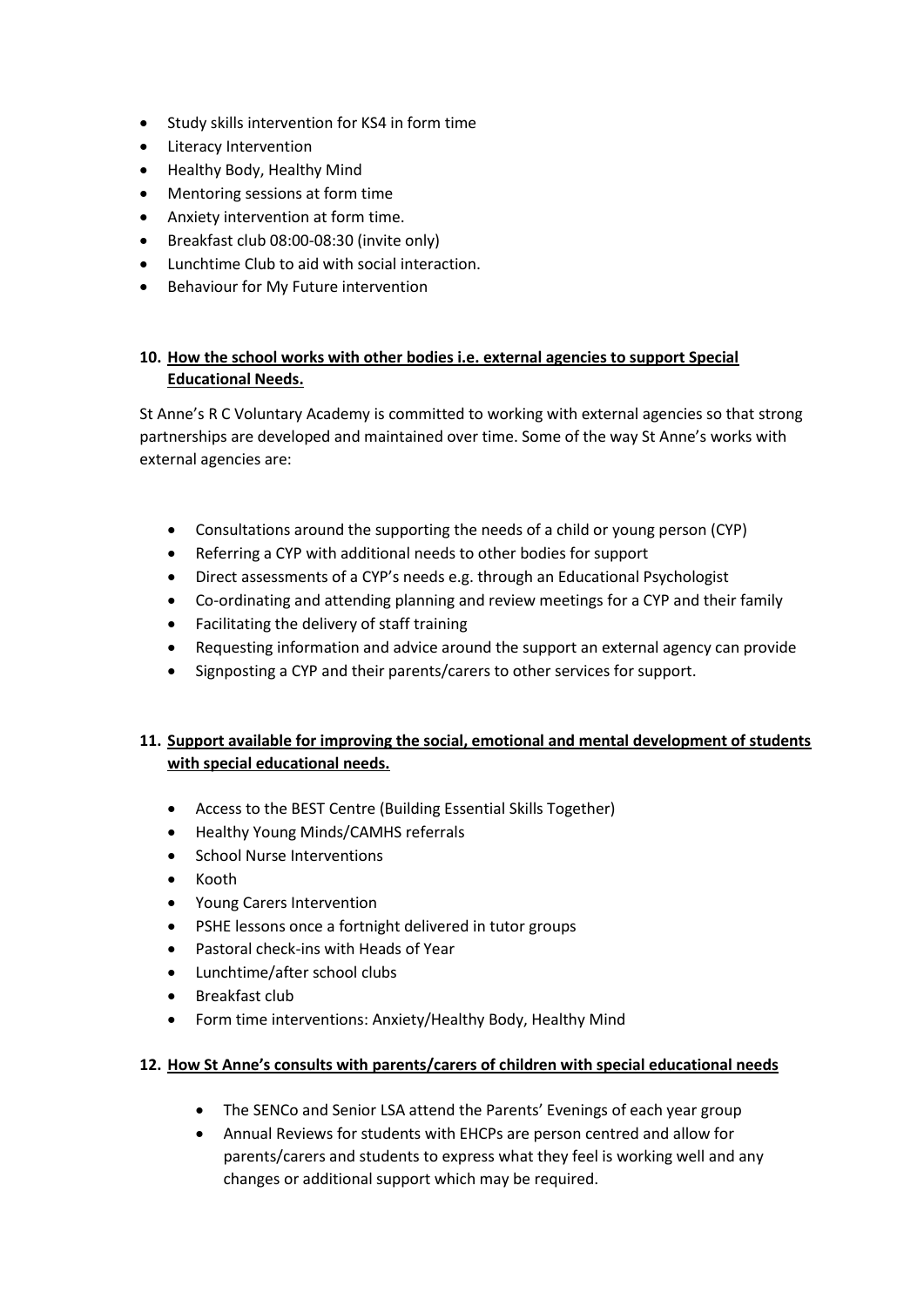- Study skills intervention for KS4 in form time
- Literacy Intervention
- Healthy Body, Healthy Mind
- Mentoring sessions at form time
- Anxiety intervention at form time.
- Breakfast club 08:00-08:30 (invite only)
- Lunchtime Club to aid with social interaction.
- Behaviour for My Future intervention

#### **10. How the school works with other bodies i.e. external agencies to support Special Educational Needs.**

St Anne's R C Voluntary Academy is committed to working with external agencies so that strong partnerships are developed and maintained over time. Some of the way St Anne's works with external agencies are:

- Consultations around the supporting the needs of a child or young person (CYP)
- Referring a CYP with additional needs to other bodies for support
- Direct assessments of a CYP's needs e.g. through an Educational Psychologist
- Co-ordinating and attending planning and review meetings for a CYP and their family
- Facilitating the delivery of staff training
- Requesting information and advice around the support an external agency can provide
- Signposting a CYP and their parents/carers to other services for support.

### **11. Support available for improving the social, emotional and mental development of students with special educational needs.**

- Access to the BEST Centre (Building Essential Skills Together)
- Healthy Young Minds/CAMHS referrals
- School Nurse Interventions
- Kooth
- Young Carers Intervention
- PSHE lessons once a fortnight delivered in tutor groups
- Pastoral check-ins with Heads of Year
- Lunchtime/after school clubs
- Breakfast club
- Form time interventions: Anxiety/Healthy Body, Healthy Mind

#### **12. How St Anne's consults with parents/carers of children with special educational needs**

- The SENCo and Senior LSA attend the Parents' Evenings of each year group
- Annual Reviews for students with EHCPs are person centred and allow for parents/carers and students to express what they feel is working well and any changes or additional support which may be required.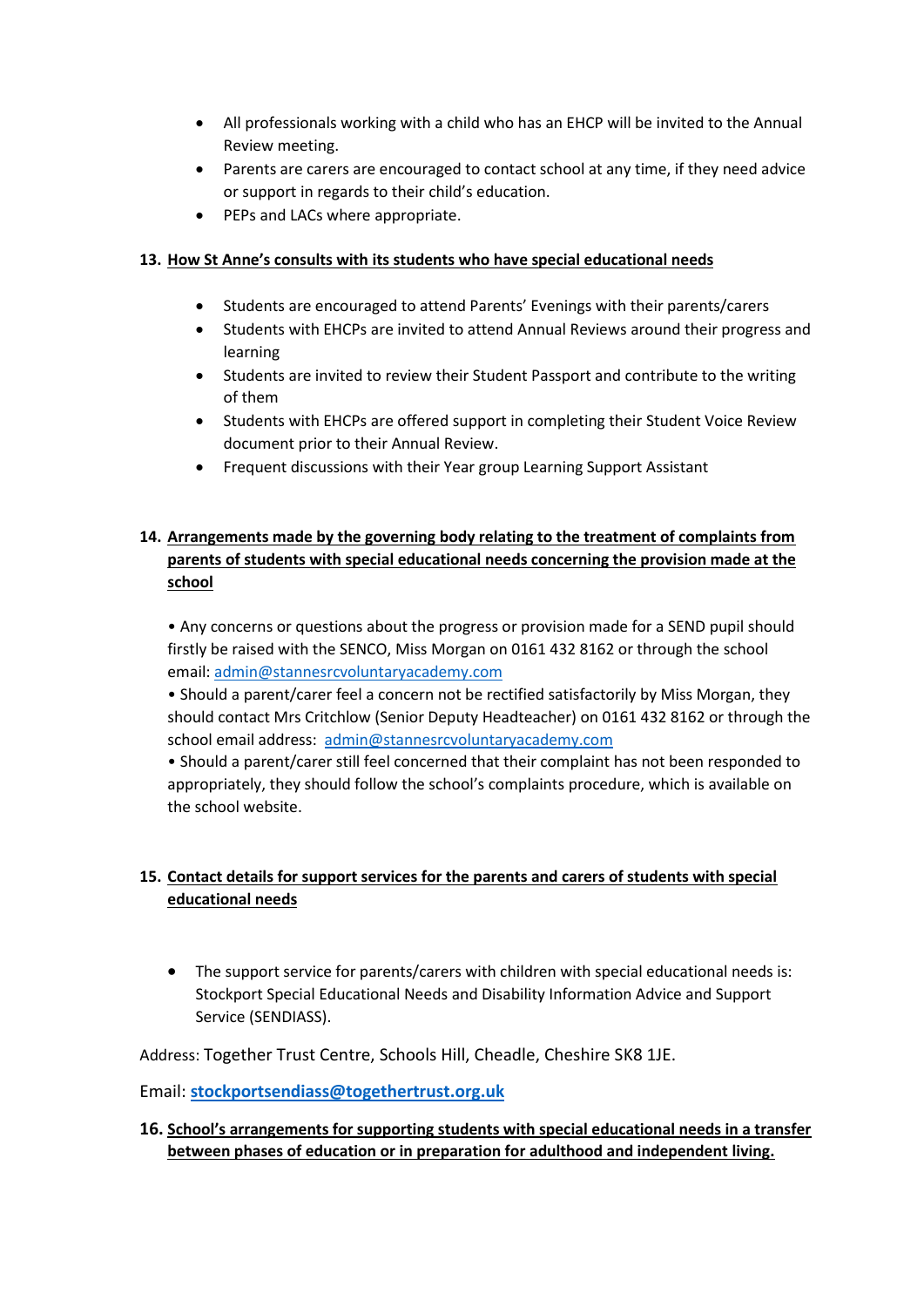- All professionals working with a child who has an EHCP will be invited to the Annual Review meeting.
- Parents are carers are encouraged to contact school at any time, if they need advice or support in regards to their child's education.
- PEPs and LACs where appropriate.

### **13. How St Anne's consults with its students who have special educational needs**

- Students are encouraged to attend Parents' Evenings with their parents/carers
- Students with EHCPs are invited to attend Annual Reviews around their progress and learning
- Students are invited to review their Student Passport and contribute to the writing of them
- Students with EHCPs are offered support in completing their Student Voice Review document prior to their Annual Review.
- Frequent discussions with their Year group Learning Support Assistant

## **14. Arrangements made by the governing body relating to the treatment of complaints from parents of students with special educational needs concerning the provision made at the school**

• Any concerns or questions about the progress or provision made for a SEND pupil should firstly be raised with the SENCO, Miss Morgan on 0161 432 8162 or through the school email: [admin@stannesrcvoluntaryacademy.com](mailto:admin@stannesrcvoluntaryacademy.com)

• Should a parent/carer feel a concern not be rectified satisfactorily by Miss Morgan, they should contact Mrs Critchlow (Senior Deputy Headteacher) on 0161 432 8162 or through the school email address: [admin@stannesrcvoluntaryacademy.com](mailto:admin@stannesrcvoluntaryacademy.com)

• Should a parent/carer still feel concerned that their complaint has not been responded to appropriately, they should follow the school's complaints procedure, which is available on the school website.

# **15. Contact details for support services for the parents and carers of students with special educational needs**

• The support service for parents/carers with children with special educational needs is: Stockport Special Educational Needs and Disability Information Advice and Support Service (SENDIASS).

Address: Together Trust Centre, Schools Hill, Cheadle, Cheshire SK8 1JE.

Email: **[stockportsendiass@togethertrust.org.uk](mailto:stockportsendiass@togethertrust.org.uk)**

### **16. School's arrangements for supporting students with special educational needs in a transfer between phases of education or in preparation for adulthood and independent living.**